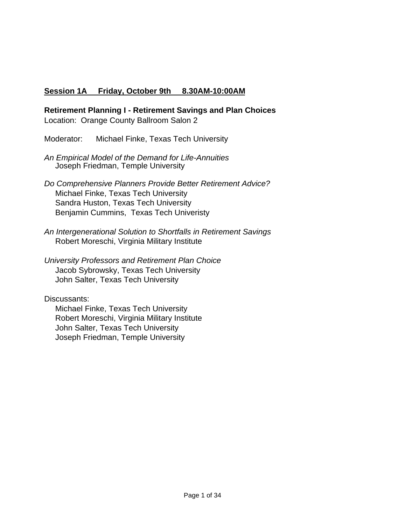## **Session 1A Friday, October 9th 8.30AM-10:00AM**

**Retirement Planning I - Retirement Savings and Plan Choices** Location: Orange County Ballroom Salon 2

Moderator: Michael Finke, Texas Tech University

*An Empirical Model of the Demand for Life-Annuities* Joseph Friedman, Temple University

- *Do Comprehensive Planners Provide Better Retirement Advice?* Michael Finke, Texas Tech University Sandra Huston, Texas Tech University Benjamin Cummins, Texas Tech Univeristy
- *An Intergenerational Solution to Shortfalls in Retirement Savings* Robert Moreschi, Virginia Military Institute

*University Professors and Retirement Plan Choice* Jacob Sybrowsky, Texas Tech University John Salter, Texas Tech University

Discussants:

 Michael Finke, Texas Tech University Robert Moreschi, Virginia Military Institute John Salter, Texas Tech University Joseph Friedman, Temple University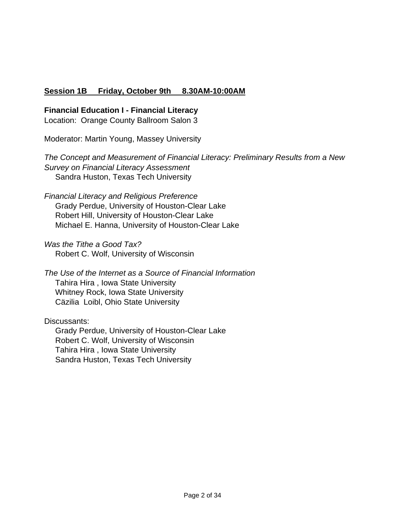## **Session 1B Friday, October 9th 8.30AM-10:00AM**

### **Financial Education I - Financial Literacy**

Location: Orange County Ballroom Salon 3

Moderator: Martin Young, Massey University

*The Concept and Measurement of Financial Literacy: Preliminary Results from a New Survey on Financial Literacy Assessment* Sandra Huston, Texas Tech University

*Financial Literacy and Religious Preference* Grady Perdue, University of Houston-Clear Lake Robert Hill, University of Houston-Clear Lake Michael E. Hanna, University of Houston-Clear Lake

*Was the Tithe a Good Tax?* Robert C. Wolf, University of Wisconsin

*The Use of the Internet as a Source of Financial Information* Tahira Hira , Iowa State University Whitney Rock, Iowa State University Cäzilia Loibl, Ohio State University

Discussants:

 Grady Perdue, University of Houston-Clear Lake Robert C. Wolf, University of Wisconsin Tahira Hira , Iowa State University Sandra Huston, Texas Tech University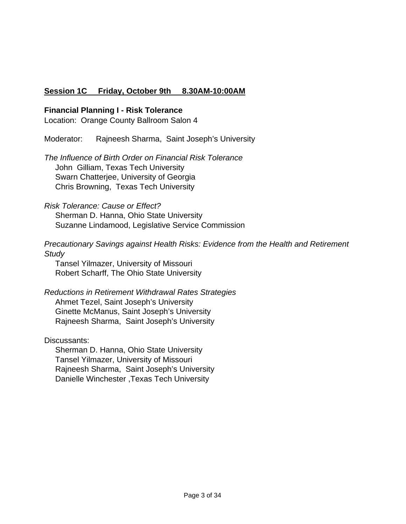# **Session 1C Friday, October 9th 8.30AM-10:00AM**

### **Financial Planning I - Risk Tolerance**

Location: Orange County Ballroom Salon 4

Moderator: Rajneesh Sharma, Saint Joseph's University

*The Influence of Birth Order on Financial Risk Tolerance* John Gilliam, Texas Tech University Swarn Chatterjee, University of Georgia Chris Browning, Texas Tech University

### *Risk Tolerance: Cause or Effect?*

 Sherman D. Hanna, Ohio State University Suzanne Lindamood, Legislative Service Commission

*Precautionary Savings against Health Risks: Evidence from the Health and Retirement Study*

 Tansel Yilmazer, University of Missouri Robert Scharff, The Ohio State University

*Reductions in Retirement Withdrawal Rates Strategies* Ahmet Tezel, Saint Joseph's University Ginette McManus, Saint Joseph's University Rajneesh Sharma, Saint Joseph's University

### Discussants:

 Sherman D. Hanna, Ohio State University Tansel Yilmazer, University of Missouri Rajneesh Sharma, Saint Joseph's University Danielle Winchester ,Texas Tech University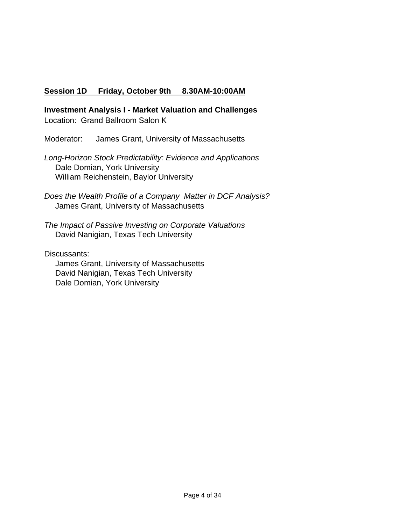## **Session 1D Friday, October 9th 8.30AM-10:00AM**

**Investment Analysis I - Market Valuation and Challenges**

Location: Grand Ballroom Salon K

Moderator: James Grant, University of Massachusetts

*Long-Horizon Stock Predictability: Evidence and Applications* Dale Domian, York University William Reichenstein, Baylor University

*Does the Wealth Profile of a Company Matter in DCF Analysis?* James Grant, University of Massachusetts

*The Impact of Passive Investing on Corporate Valuations* David Nanigian, Texas Tech University

Discussants: James Grant, University of Massachusetts David Nanigian, Texas Tech University Dale Domian, York University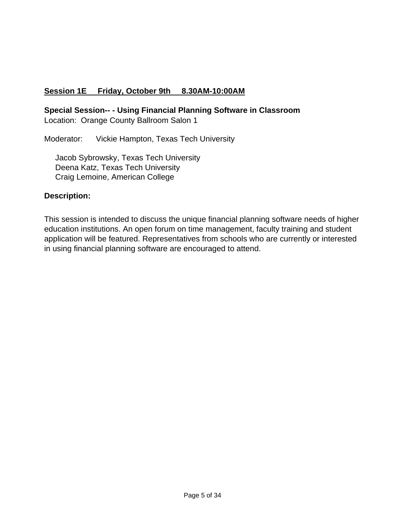# **Session 1E Friday, October 9th 8.30AM-10:00AM**

**Special Session-- - Using Financial Planning Software in Classroom**

Location: Orange County Ballroom Salon 1

Moderator: Vickie Hampton, Texas Tech University

 Jacob Sybrowsky, Texas Tech University Deena Katz, Texas Tech University Craig Lemoine, American College

### **Description:**

This session is intended to discuss the unique financial planning software needs of higher education institutions. An open forum on time management, faculty training and student application will be featured. Representatives from schools who are currently or interested in using financial planning software are encouraged to attend.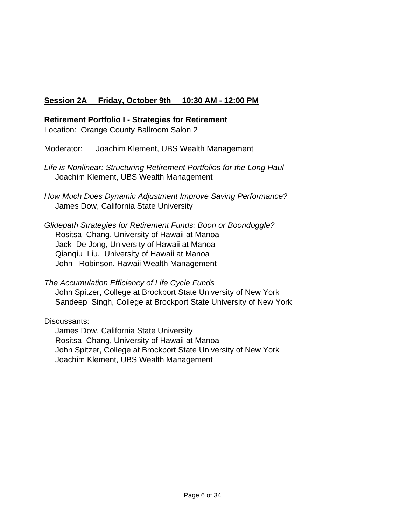# **Session 2A Friday, October 9th 10:30 AM - 12:00 PM**

**Retirement Portfolio I - Strategies for Retirement**

Location: Orange County Ballroom Salon 2

Moderator: Joachim Klement, UBS Wealth Management

*Life is Nonlinear: Structuring Retirement Portfolios for the Long Haul* Joachim Klement, UBS Wealth Management

*How Much Does Dynamic Adjustment Improve Saving Performance?* James Dow, California State University

*Glidepath Strategies for Retirement Funds: Boon or Boondoggle?* Rositsa Chang, University of Hawaii at Manoa Jack De Jong, University of Hawaii at Manoa Qianqiu Liu, University of Hawaii at Manoa John Robinson, Hawaii Wealth Management

*The Accumulation Efficiency of Life Cycle Funds* John Spitzer, College at Brockport State University of New York Sandeep Singh, College at Brockport State University of New York

Discussants:

 James Dow, California State University Rositsa Chang, University of Hawaii at Manoa John Spitzer, College at Brockport State University of New York Joachim Klement, UBS Wealth Management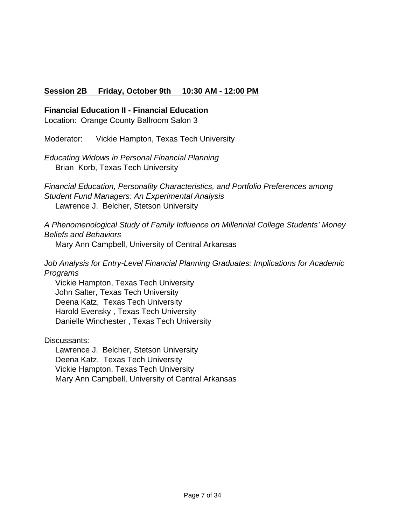# **Session 2B Friday, October 9th 10:30 AM - 12:00 PM**

### **Financial Education II - Financial Education**

Location: Orange County Ballroom Salon 3

Moderator: Vickie Hampton, Texas Tech University

*Educating Widows in Personal Financial Planning* Brian Korb, Texas Tech University

*Financial Education, Personality Characteristics, and Portfolio Preferences among Student Fund Managers: An Experimental Analysis* Lawrence J. Belcher, Stetson University

*A Phenomenological Study of Family Influence on Millennial College Students' Money Beliefs and Behaviors*

Mary Ann Campbell, University of Central Arkansas

*Job Analysis for Entry-Level Financial Planning Graduates: Implications for Academic Programs*

 Vickie Hampton, Texas Tech University John Salter, Texas Tech University Deena Katz, Texas Tech University Harold Evensky , Texas Tech University Danielle Winchester , Texas Tech University

Discussants:

 Lawrence J. Belcher, Stetson University Deena Katz, Texas Tech University Vickie Hampton, Texas Tech University Mary Ann Campbell, University of Central Arkansas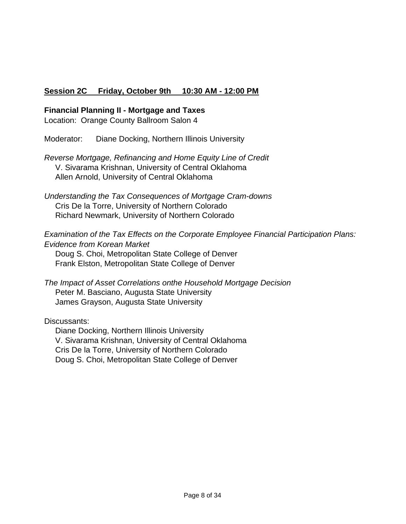# **Session 2C Friday, October 9th 10:30 AM - 12:00 PM**

### **Financial Planning II - Mortgage and Taxes**

Location: Orange County Ballroom Salon 4

Moderator: Diane Docking, Northern Illinois University

*Reverse Mortgage, Refinancing and Home Equity Line of Credit* V. Sivarama Krishnan, University of Central Oklahoma Allen Arnold, University of Central Oklahoma

*Understanding the Tax Consequences of Mortgage Cram-downs* Cris De la Torre, University of Northern Colorado Richard Newmark, University of Northern Colorado

*Examination of the Tax Effects on the Corporate Employee Financial Participation Plans: Evidence from Korean Market* Doug S. Choi, Metropolitan State College of Denver Frank Elston, Metropolitan State College of Denver

*The Impact of Asset Correlations onthe Household Mortgage Decision* Peter M. Basciano, Augusta State University James Grayson, Augusta State University

Discussants:

 Diane Docking, Northern Illinois University V. Sivarama Krishnan, University of Central Oklahoma Cris De la Torre, University of Northern Colorado Doug S. Choi, Metropolitan State College of Denver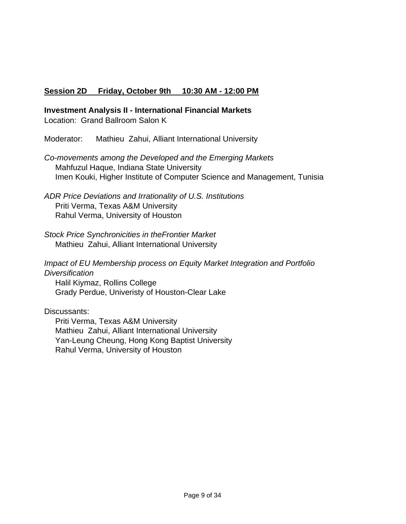# **Session 2D Friday, October 9th 10:30 AM - 12:00 PM**

**Investment Analysis II - International Financial Markets**

Location: Grand Ballroom Salon K

Moderator: Mathieu Zahui, Alliant International University

*Co-movements among the Developed and the Emerging Markets* Mahfuzul Haque, Indiana State University Imen Kouki, Higher Institute of Computer Science and Management, Tunisia

*ADR Price Deviations and Irrationality of U.S. Institutions*  Priti Verma, Texas A&M University Rahul Verma, University of Houston

- *Stock Price Synchronicities in theFrontier Market* Mathieu Zahui, Alliant International University
- *Impact of EU Membership process on Equity Market Integration and Portfolio Diversification*

 Halil Kiymaz, Rollins College Grady Perdue, Univeristy of Houston-Clear Lake

Discussants:

 Priti Verma, Texas A&M University Mathieu Zahui, Alliant International University Yan-Leung Cheung, Hong Kong Baptist University Rahul Verma, University of Houston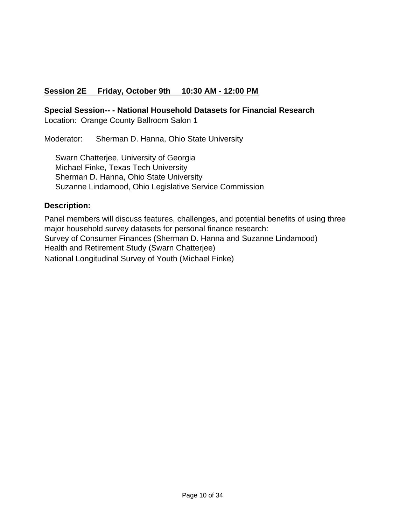# **Session 2E Friday, October 9th 10:30 AM - 12:00 PM**

**Special Session-- - National Household Datasets for Financial Research**

Location: Orange County Ballroom Salon 1

Moderator: Sherman D. Hanna, Ohio State University

 Swarn Chatterjee, University of Georgia Michael Finke, Texas Tech University Sherman D. Hanna, Ohio State University Suzanne Lindamood, Ohio Legislative Service Commission

# **Description:**

Panel members will discuss features, challenges, and potential benefits of using three major household survey datasets for personal finance research: Survey of Consumer Finances (Sherman D. Hanna and Suzanne Lindamood) Health and Retirement Study (Swarn Chatterjee) National Longitudinal Survey of Youth (Michael Finke)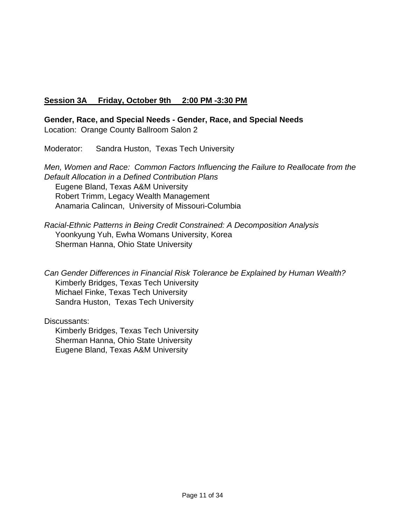# **Session 3A Friday, October 9th 2:00 PM -3:30 PM**

**Gender, Race, and Special Needs - Gender, Race, and Special Needs** Location: Orange County Ballroom Salon 2

Moderator: Sandra Huston, Texas Tech University

*Men, Women and Race: Common Factors Influencing the Failure to Reallocate from the Default Allocation in a Defined Contribution Plans* Eugene Bland, Texas A&M University Robert Trimm, Legacy Wealth Management Anamaria Calincan, University of Missouri-Columbia

*Racial-Ethnic Patterns in Being Credit Constrained: A Decomposition Analysis* Yoonkyung Yuh, Ewha Womans University, Korea Sherman Hanna, Ohio State University

*Can Gender Differences in Financial Risk Tolerance be Explained by Human Wealth?* Kimberly Bridges, Texas Tech University Michael Finke, Texas Tech University Sandra Huston, Texas Tech University

Discussants: Kimberly Bridges, Texas Tech University Sherman Hanna, Ohio State University

Eugene Bland, Texas A&M University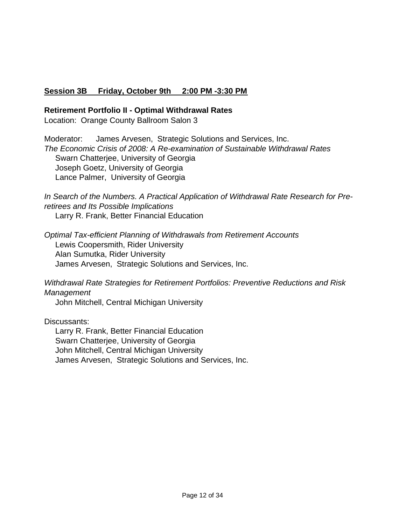## **Session 3B Friday, October 9th 2:00 PM -3:30 PM**

### **Retirement Portfolio II - Optimal Withdrawal Rates**

Location: Orange County Ballroom Salon 3

Moderator: James Arvesen, Strategic Solutions and Services, Inc. *The Economic Crisis of 2008: A Re-examination of Sustainable Withdrawal Rates* Swarn Chatterjee, University of Georgia Joseph Goetz, University of Georgia Lance Palmer, University of Georgia

*In Search of the Numbers. A Practical Application of Withdrawal Rate Research for Preretirees and Its Possible Implications*

Larry R. Frank, Better Financial Education

*Optimal Tax-efficient Planning of Withdrawals from Retirement Accounts* Lewis Coopersmith, Rider University Alan Sumutka, Rider University James Arvesen, Strategic Solutions and Services, Inc.

*Withdrawal Rate Strategies for Retirement Portfolios: Preventive Reductions and Risk Management*

John Mitchell, Central Michigan University

Discussants:

 Larry R. Frank, Better Financial Education Swarn Chatterjee, University of Georgia John Mitchell, Central Michigan University James Arvesen, Strategic Solutions and Services, Inc.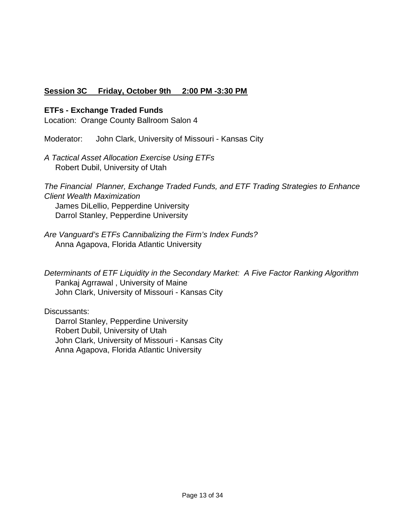# **Session 3C Friday, October 9th 2:00 PM -3:30 PM**

### **ETFs - Exchange Traded Funds**

Location: Orange County Ballroom Salon 4

Moderator: John Clark, University of Missouri - Kansas City

*A Tactical Asset Allocation Exercise Using ETFs* Robert Dubil, University of Utah

*The Financial Planner, Exchange Traded Funds, and ETF Trading Strategies to Enhance Client Wealth Maximization* James DiLellio, Pepperdine University Darrol Stanley, Pepperdine University

*Are Vanguard's ETFs Cannibalizing the Firm's Index Funds?* Anna Agapova, Florida Atlantic University

*Determinants of ETF Liquidity in the Secondary Market: A Five Factor Ranking Algorithm* Pankaj Agrrawal , University of Maine John Clark, University of Missouri - Kansas City

Discussants:

 Darrol Stanley, Pepperdine University Robert Dubil, University of Utah John Clark, University of Missouri - Kansas City Anna Agapova, Florida Atlantic University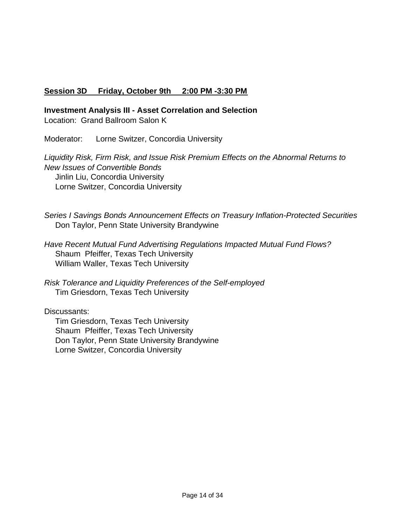## **Session 3D Friday, October 9th 2:00 PM -3:30 PM**

**Investment Analysis III - Asset Correlation and Selection**

Location: Grand Ballroom Salon K

Moderator: Lorne Switzer, Concordia University

*Liquidity Risk, Firm Risk, and Issue Risk Premium Effects on the Abnormal Returns to New Issues of Convertible Bonds* Jinlin Liu, Concordia University Lorne Switzer, Concordia University

*Series I Savings Bonds Announcement Effects on Treasury Inflation-Protected Securities* Don Taylor, Penn State University Brandywine

*Have Recent Mutual Fund Advertising Regulations Impacted Mutual Fund Flows?* Shaum Pfeiffer, Texas Tech University William Waller, Texas Tech University

*Risk Tolerance and Liquidity Preferences of the Self-employed* Tim Griesdorn, Texas Tech University

Discussants:

 Tim Griesdorn, Texas Tech University Shaum Pfeiffer, Texas Tech University Don Taylor, Penn State University Brandywine Lorne Switzer, Concordia University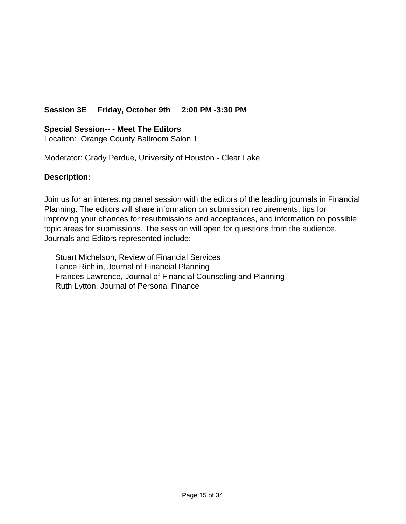# **Session 3E Friday, October 9th 2:00 PM -3:30 PM**

### **Special Session-- - Meet The Editors**

Location: Orange County Ballroom Salon 1

Moderator: Grady Perdue, University of Houston - Clear Lake

### **Description:**

Join us for an interesting panel session with the editors of the leading journals in Financial Planning. The editors will share information on submission requirements, tips for improving your chances for resubmissions and acceptances, and information on possible topic areas for submissions. The session will open for questions from the audience. Journals and Editors represented include:

 Stuart Michelson, Review of Financial Services Lance Richlin, Journal of Financial Planning Frances Lawrence, Journal of Financial Counseling and Planning Ruth Lytton, Journal of Personal Finance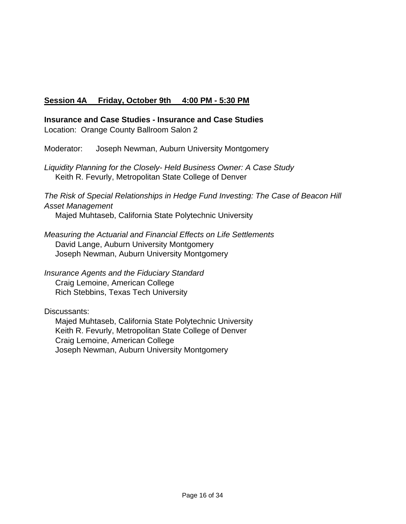# **Session 4A Friday, October 9th 4:00 PM - 5:30 PM**

**Insurance and Case Studies - Insurance and Case Studies** Location: Orange County Ballroom Salon 2

Moderator: Joseph Newman, Auburn University Montgomery

*Liquidity Planning for the Closely- Held Business Owner: A Case Study* Keith R. Fevurly, Metropolitan State College of Denver

*The Risk of Special Relationships in Hedge Fund Investing: The Case of Beacon Hill Asset Management*

Majed Muhtaseb, California State Polytechnic University

*Measuring the Actuarial and Financial Effects on Life Settlements*  David Lange, Auburn University Montgomery Joseph Newman, Auburn University Montgomery

*Insurance Agents and the Fiduciary Standard* Craig Lemoine, American College Rich Stebbins, Texas Tech University

Discussants:

 Majed Muhtaseb, California State Polytechnic University Keith R. Fevurly, Metropolitan State College of Denver Craig Lemoine, American College Joseph Newman, Auburn University Montgomery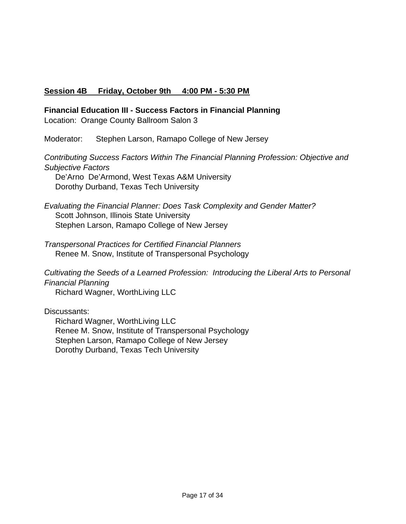## **Session 4B Friday, October 9th 4:00 PM - 5:30 PM**

**Financial Education III - Success Factors in Financial Planning**

Location: Orange County Ballroom Salon 3

Moderator: Stephen Larson, Ramapo College of New Jersey

*Contributing Success Factors Within The Financial Planning Profession: Objective and Subjective Factors*

 De'Arno De'Armond, West Texas A&M University Dorothy Durband, Texas Tech University

*Evaluating the Financial Planner: Does Task Complexity and Gender Matter?* Scott Johnson, Illinois State University Stephen Larson, Ramapo College of New Jersey

*Transpersonal Practices for Certified Financial Planners* Renee M. Snow, Institute of Transpersonal Psychology

*Cultivating the Seeds of a Learned Profession: Introducing the Liberal Arts to Personal Financial Planning*

Richard Wagner, WorthLiving LLC

Discussants:

 Richard Wagner, WorthLiving LLC Renee M. Snow, Institute of Transpersonal Psychology Stephen Larson, Ramapo College of New Jersey Dorothy Durband, Texas Tech University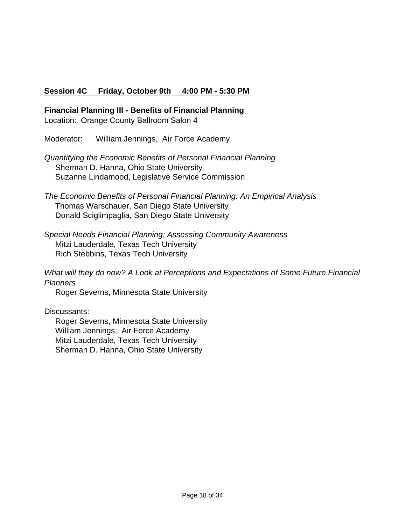## **Session 4C Friday, October 9th 4:00 PM - 5:30 PM**

**Financial Planning III - Benefits of Financial Planning**

Location: Orange County Ballroom Salon 4

Moderator: William Jennings, Air Force Academy

- *Quantifying the Economic Benefits of Personal Financial Planning* Sherman D. Hanna, Ohio State University Suzanne Lindamood, Legislative Service Commission
- *The Economic Benefits of Personal Financial Planning: An Empirical Analysis* Thomas Warschauer, San Diego State University Donald Sciglimpaglia, San Diego State University
- *Special Needs Financial Planning: Assessing Community Awareness* Mitzi Lauderdale, Texas Tech University Rich Stebbins, Texas Tech University
- *What will they do now? A Look at Perceptions and Expectations of Some Future Financial Planners*

Roger Severns, Minnesota State University

Discussants:

 Roger Severns, Minnesota State University William Jennings, Air Force Academy Mitzi Lauderdale, Texas Tech University Sherman D. Hanna, Ohio State University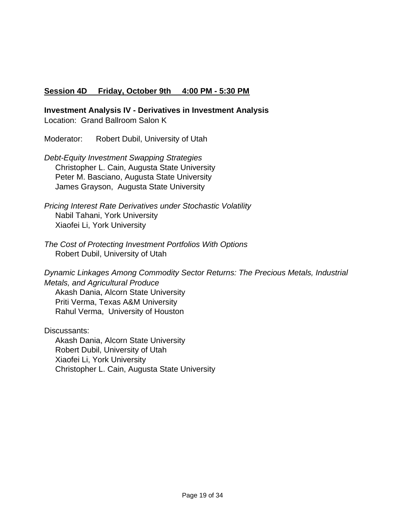## **Session 4D Friday, October 9th 4:00 PM - 5:30 PM**

**Investment Analysis IV - Derivatives in Investment Analysis** Location: Grand Ballroom Salon K

Moderator: Robert Dubil, University of Utah

*Debt-Equity Investment Swapping Strategies* Christopher L. Cain, Augusta State University Peter M. Basciano, Augusta State University James Grayson, Augusta State University

*Pricing Interest Rate Derivatives under Stochastic Volatility* Nabil Tahani, York University Xiaofei Li, York University

*The Cost of Protecting Investment Portfolios With Options* Robert Dubil, University of Utah

*Dynamic Linkages Among Commodity Sector Returns: The Precious Metals, Industrial Metals, and Agricultural Produce* Akash Dania, Alcorn State University Priti Verma, Texas A&M University

Rahul Verma, University of Houston

Discussants: Akash Dania, Alcorn State University Robert Dubil, University of Utah Xiaofei Li, York University Christopher L. Cain, Augusta State University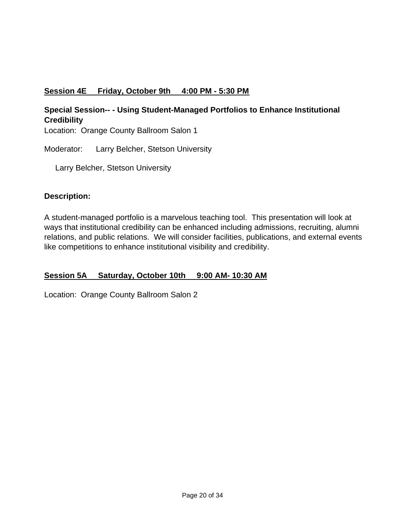# **Session 4E Friday, October 9th 4:00 PM - 5:30 PM**

# **Special Session-- - Using Student-Managed Portfolios to Enhance Institutional Credibility**

Location: Orange County Ballroom Salon 1

Moderator: Larry Belcher, Stetson University

Larry Belcher, Stetson University

## **Description:**

A student-managed portfolio is a marvelous teaching tool. This presentation will look at ways that institutional credibility can be enhanced including admissions, recruiting, alumni relations, and public relations. We will consider facilities, publications, and external events like competitions to enhance institutional visibility and credibility.

# **Session 5A Saturday, October 10th 9:00 AM- 10:30 AM**

Location: Orange County Ballroom Salon 2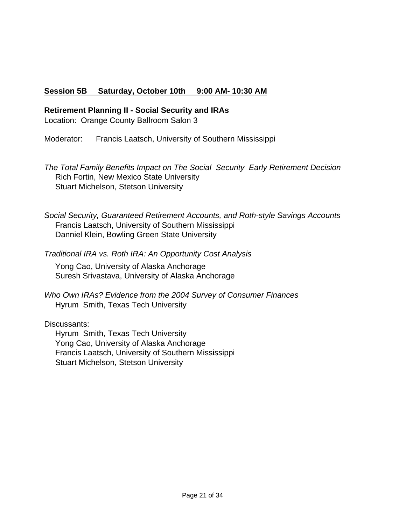## **Session 5B Saturday, October 10th 9:00 AM- 10:30 AM**

### **Retirement Planning II - Social Security and IRAs**

Location: Orange County Ballroom Salon 3

Moderator: Francis Laatsch, University of Southern Mississippi

*The Total Family Benefits Impact on The Social Security Early Retirement Decision* Rich Fortin, New Mexico State University Stuart Michelson, Stetson University

*Social Security, Guaranteed Retirement Accounts, and Roth-style Savings Accounts* Francis Laatsch, University of Southern Mississippi Danniel Klein, Bowling Green State University

*Traditional IRA vs. Roth IRA: An Opportunity Cost Analysis*

 Yong Cao, University of Alaska Anchorage Suresh Srivastava, University of Alaska Anchorage

*Who Own IRAs? Evidence from the 2004 Survey of Consumer Finances* Hyrum Smith, Texas Tech University

Discussants:

 Hyrum Smith, Texas Tech University Yong Cao, University of Alaska Anchorage Francis Laatsch, University of Southern Mississippi Stuart Michelson, Stetson University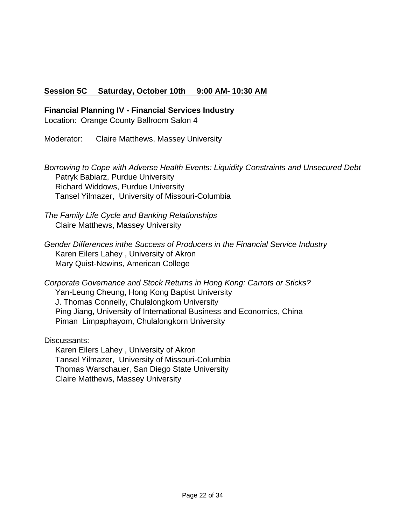# **Session 5C Saturday, October 10th 9:00 AM- 10:30 AM**

### **Financial Planning IV - Financial Services Industry**

Location: Orange County Ballroom Salon 4

Moderator: Claire Matthews, Massey University

*Borrowing to Cope with Adverse Health Events: Liquidity Constraints and Unsecured Debt* Patryk Babiarz, Purdue University Richard Widdows, Purdue University Tansel Yilmazer, University of Missouri-Columbia

*The Family Life Cycle and Banking Relationships* Claire Matthews, Massey University

*Gender Differences inthe Success of Producers in the Financial Service Industry* Karen Eilers Lahey , University of Akron Mary Quist-Newins, American College

*Corporate Governance and Stock Returns in Hong Kong: Carrots or Sticks?* Yan-Leung Cheung, Hong Kong Baptist University J. Thomas Connelly, Chulalongkorn University Ping Jiang, University of International Business and Economics, China Piman Limpaphayom, Chulalongkorn University

Discussants:

 Karen Eilers Lahey , University of Akron Tansel Yilmazer, University of Missouri-Columbia Thomas Warschauer, San Diego State University Claire Matthews, Massey University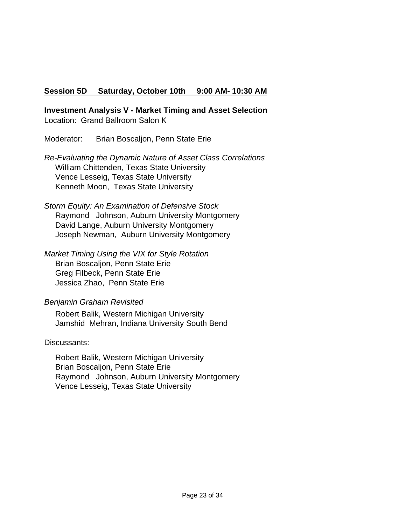## **Session 5D Saturday, October 10th 9:00 AM- 10:30 AM**

**Investment Analysis V - Market Timing and Asset Selection** Location: Grand Ballroom Salon K

Moderator: Brian Boscaljon, Penn State Erie

*Re-Evaluating the Dynamic Nature of Asset Class Correlations* William Chittenden, Texas State University Vence Lesseig, Texas State University Kenneth Moon, Texas State University

*Storm Equity: An Examination of Defensive Stock* Raymond Johnson, Auburn University Montgomery David Lange, Auburn University Montgomery Joseph Newman, Auburn University Montgomery

*Market Timing Using the VIX for Style Rotation* Brian Boscaljon, Penn State Erie Greg Filbeck, Penn State Erie Jessica Zhao, Penn State Erie

### *Benjamin Graham Revisited*

 Robert Balik, Western Michigan University Jamshid Mehran, Indiana University South Bend

Discussants:

 Robert Balik, Western Michigan University Brian Boscaljon, Penn State Erie Raymond Johnson, Auburn University Montgomery Vence Lesseig, Texas State University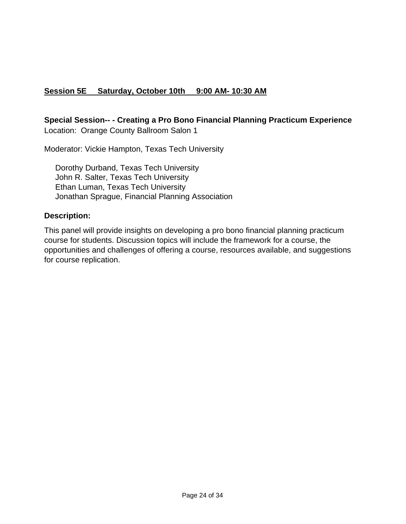# **Session 5E Saturday, October 10th 9:00 AM- 10:30 AM**

## **Special Session-- - Creating a Pro Bono Financial Planning Practicum Experience** Location: Orange County Ballroom Salon 1

Moderator: Vickie Hampton, Texas Tech University

 Dorothy Durband, Texas Tech University John R. Salter, Texas Tech University Ethan Luman, Texas Tech University Jonathan Sprague, Financial Planning Association

### **Description:**

This panel will provide insights on developing a pro bono financial planning practicum course for students. Discussion topics will include the framework for a course, the opportunities and challenges of offering a course, resources available, and suggestions for course replication.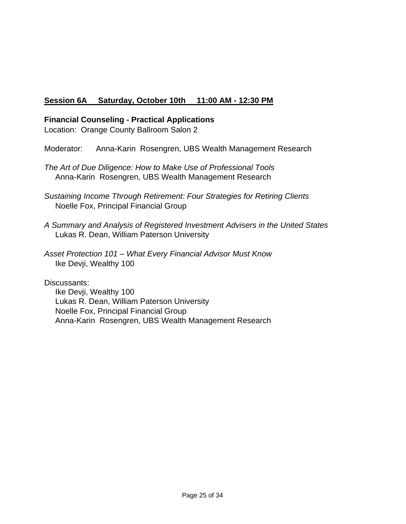# **Session 6A Saturday, October 10th 11:00 AM - 12:30 PM**

### **Financial Counseling - Practical Applications**

Location: Orange County Ballroom Salon 2

Moderator: Anna-Karin Rosengren, UBS Wealth Management Research

*The Art of Due Diligence: How to Make Use of Professional Tools* Anna-Karin Rosengren, UBS Wealth Management Research

- *Sustaining Income Through Retirement: Four Strategies for Retiring Clients* Noelle Fox, Principal Financial Group
- *A Summary and Analysis of Registered Investment Advisers in the United States* Lukas R. Dean, William Paterson University

*Asset Protection 101 – What Every Financial Advisor Must Know* Ike Devji, Wealthy 100

Discussants:

 Ike Devji, Wealthy 100 Lukas R. Dean, William Paterson University Noelle Fox, Principal Financial Group Anna-Karin Rosengren, UBS Wealth Management Research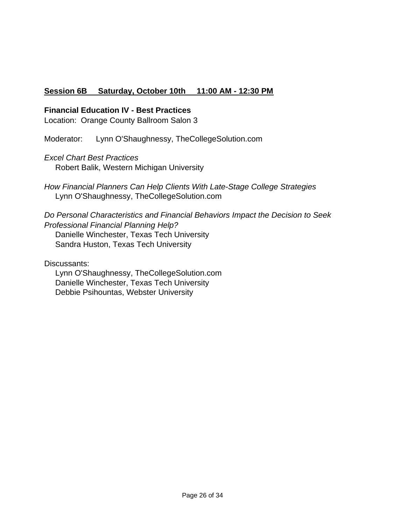# **Session 6B Saturday, October 10th 11:00 AM - 12:30 PM**

### **Financial Education IV - Best Practices**

Location: Orange County Ballroom Salon 3

Moderator: Lynn O'Shaughnessy, TheCollegeSolution.com

*Excel Chart Best Practices*

Robert Balik, Western Michigan University

*How Financial Planners Can Help Clients With Late-Stage College Strategies* Lynn O'Shaughnessy, TheCollegeSolution.com

*Do Personal Characteristics and Financial Behaviors Impact the Decision to Seek Professional Financial Planning Help?* Danielle Winchester, Texas Tech University Sandra Huston, Texas Tech University

Discussants:

 Lynn O'Shaughnessy, TheCollegeSolution.com Danielle Winchester, Texas Tech University Debbie Psihountas, Webster University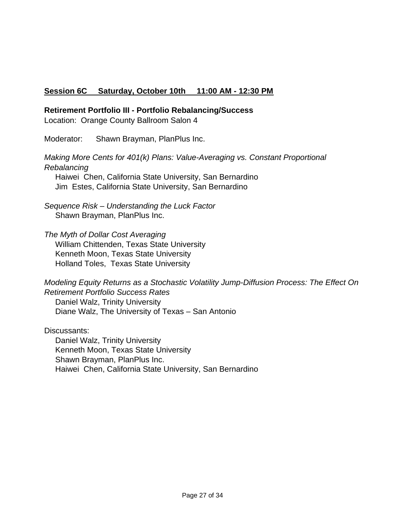## **Session 6C Saturday, October 10th 11:00 AM - 12:30 PM**

### **Retirement Portfolio III - Portfolio Rebalancing/Success**

Location: Orange County Ballroom Salon 4

Moderator: Shawn Brayman, PlanPlus Inc.

*Making More Cents for 401(k) Plans: Value-Averaging vs. Constant Proportional Rebalancing*

 Haiwei Chen, California State University, San Bernardino Jim Estes, California State University, San Bernardino

*Sequence Risk – Understanding the Luck Factor* Shawn Brayman, PlanPlus Inc.

*The Myth of Dollar Cost Averaging*

 William Chittenden, Texas State University Kenneth Moon, Texas State University Holland Toles, Texas State University

*Modeling Equity Returns as a Stochastic Volatility Jump-Diffusion Process: The Effect On Retirement Portfolio Success Rates* Daniel Walz, Trinity University Diane Walz, The University of Texas – San Antonio

Discussants: Daniel Walz, Trinity University Kenneth Moon, Texas State University Shawn Brayman, PlanPlus Inc. Haiwei Chen, California State University, San Bernardino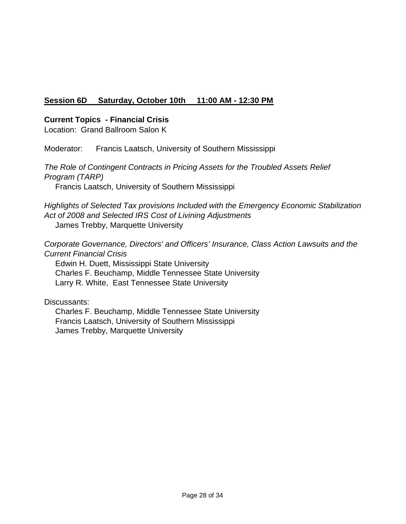# **Session 6D Saturday, October 10th 11:00 AM - 12:30 PM**

### **Current Topics - Financial Crisis**

Location: Grand Ballroom Salon K

Moderator: Francis Laatsch, University of Southern Mississippi

*The Role of Contingent Contracts in Pricing Assets for the Troubled Assets Relief Program (TARP)*

Francis Laatsch, University of Southern Mississippi

*Highlights of Selected Tax provisions Included with the Emergency Economic Stabilization Act of 2008 and Selected IRS Cost of Livining Adjustments* James Trebby, Marquette University

*Corporate Governance, Directors' and Officers' Insurance, Class Action Lawsuits and the Current Financial Crisis*

 Edwin H. Duett, Mississippi State University Charles F. Beuchamp, Middle Tennessee State University Larry R. White, East Tennessee State University

Discussants:

 Charles F. Beuchamp, Middle Tennessee State University Francis Laatsch, University of Southern Mississippi James Trebby, Marquette University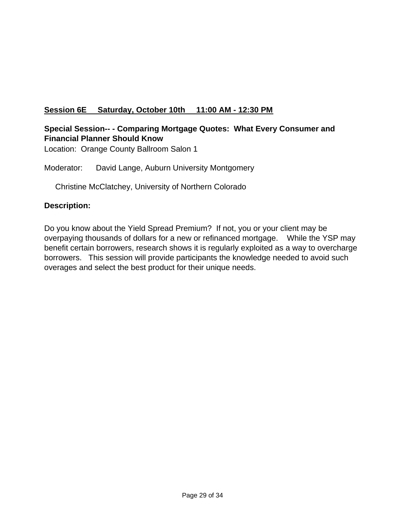# **Session 6E Saturday, October 10th 11:00 AM - 12:30 PM**

# **Special Session-- - Comparing Mortgage Quotes: What Every Consumer and Financial Planner Should Know**

Location: Orange County Ballroom Salon 1

Moderator: David Lange, Auburn University Montgomery

Christine McClatchey, University of Northern Colorado

## **Description:**

Do you know about the Yield Spread Premium? If not, you or your client may be overpaying thousands of dollars for a new or refinanced mortgage. While the YSP may benefit certain borrowers, research shows it is regularly exploited as a way to overcharge borrowers. This session will provide participants the knowledge needed to avoid such overages and select the best product for their unique needs.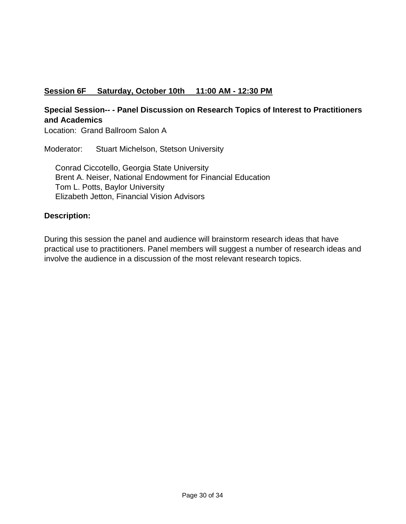# **Session 6F Saturday, October 10th 11:00 AM - 12:30 PM**

# **Special Session-- - Panel Discussion on Research Topics of Interest to Practitioners and Academics**

Location: Grand Ballroom Salon A

Moderator: Stuart Michelson, Stetson University

 Conrad Ciccotello, Georgia State University Brent A. Neiser, National Endowment for Financial Education Tom L. Potts, Baylor University Elizabeth Jetton, Financial Vision Advisors

### **Description:**

During this session the panel and audience will brainstorm research ideas that have practical use to practitioners. Panel members will suggest a number of research ideas and involve the audience in a discussion of the most relevant research topics.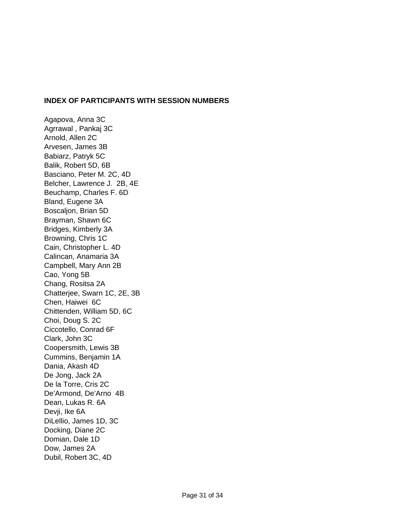#### **INDEX OF PARTICIPANTS WITH SESSION NUMBERS**

Agapova, Anna 3C Agrrawal , Pankaj 3C Arnold, Allen 2C Arvesen, James 3B Babiarz, Patryk 5C Balik, Robert 5D, 6B Basciano, Peter M. 2C, 4D Belcher, Lawrence J. 2B, 4E Beuchamp, Charles F. 6D Bland, Eugene 3A Boscaljon, Brian 5D Brayman, Shawn 6C Bridges, Kimberly 3A Browning, Chris 1C Cain, Christopher L. 4D Calincan, Anamaria 3A Campbell, Mary Ann 2B Cao, Yong 5B Chang, Rositsa 2A Chatterjee, Swarn 1C, 2E, 3B Chen, Haiwei 6C Chittenden, William 5D, 6C Choi, Doug S. 2C Ciccotello, Conrad 6F Clark, John 3C Coopersmith, Lewis 3B Cummins, Benjamin 1A Dania, Akash 4D De Jong, Jack 2A De la Torre, Cris 2C De'Armond, De'Arno 4B Dean, Lukas R. 6A Devji, Ike 6A DiLellio, James 1D, 3C Docking, Diane 2C Domian, Dale 1D Dow, James 2A Dubil, Robert 3C, 4D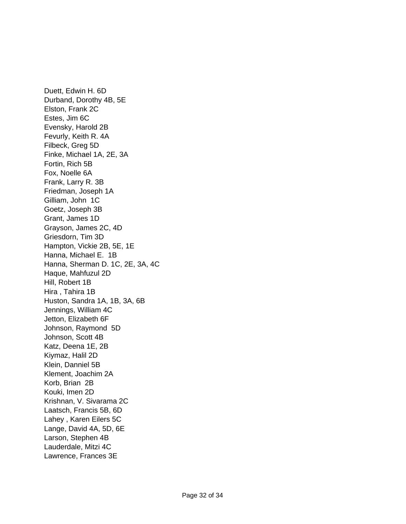Duett, Edwin H. 6D Durband, Dorothy 4B, 5E Elston, Frank 2C Estes, Jim 6C Evensky, Harold 2B Fevurly, Keith R. 4A Filbeck, Greg 5D Finke, Michael 1A, 2E, 3A Fortin, Rich 5B Fox, Noelle 6A Frank, Larry R. 3B Friedman, Joseph 1A Gilliam, John 1C Goetz, Joseph 3B Grant, James 1D Grayson, James 2C, 4D Griesdorn, Tim 3D Hampton, Vickie 2B, 5E, 1E Hanna, Michael E. 1B Hanna, Sherman D. 1C, 2E, 3A, 4C Haque, Mahfuzul 2D Hill, Robert 1B Hira , Tahira 1B Huston, Sandra 1A, 1B, 3A, 6B Jennings, William 4C Jetton, Elizabeth 6F Johnson, Raymond 5D Johnson, Scott 4B Katz, Deena 1E, 2B Kiymaz, Halil 2D Klein, Danniel 5B Klement, Joachim 2A Korb, Brian 2B Kouki, Imen 2D Krishnan, V. Sivarama 2C Laatsch, Francis 5B, 6D Lahey , Karen Eilers 5C Lange, David 4A, 5D, 6E Larson, Stephen 4B Lauderdale, Mitzi 4C Lawrence, Frances 3E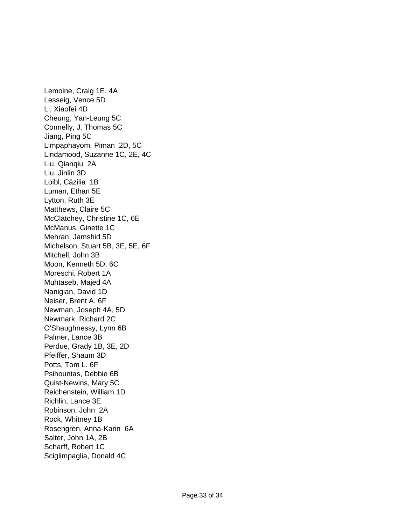Lemoine, Craig 1E, 4A Lesseig, Vence 5D Li, Xiaofei 4D Cheung, Yan-Leung 5C Connelly, J. Thomas 5C Jiang, Ping 5C Limpaphayom, Piman 2D, 5C Lindamood, Suzanne 1C, 2E, 4C Liu, Qianqiu 2A Liu, Jinlin 3D Loibl, Cäzilia 1B Luman, Ethan 5E Lytton, Ruth 3E Matthews, Claire 5C McClatchey, Christine 1C, 6E McManus, Ginette 1C Mehran, Jamshid 5D Michelson, Stuart 5B, 3E, 5E, 6F Mitchell, John 3B Moon, Kenneth 5D, 6C Moreschi, Robert 1A Muhtaseb, Majed 4A Nanigian, David 1D Neiser, Brent A. 6F Newman, Joseph 4A, 5D Newmark, Richard 2C O'Shaughnessy, Lynn 6B Palmer, Lance 3B Perdue, Grady 1B, 3E, 2D Pfeiffer, Shaum 3D Potts, Tom L. 6F Psihountas, Debbie 6B Quist-Newins, Mary 5C Reichenstein, William 1D Richlin, Lance 3E Robinson, John 2A Rock, Whitney 1B Rosengren, Anna-Karin 6A Salter, John 1A, 2B Scharff, Robert 1C Sciglimpaglia, Donald 4C